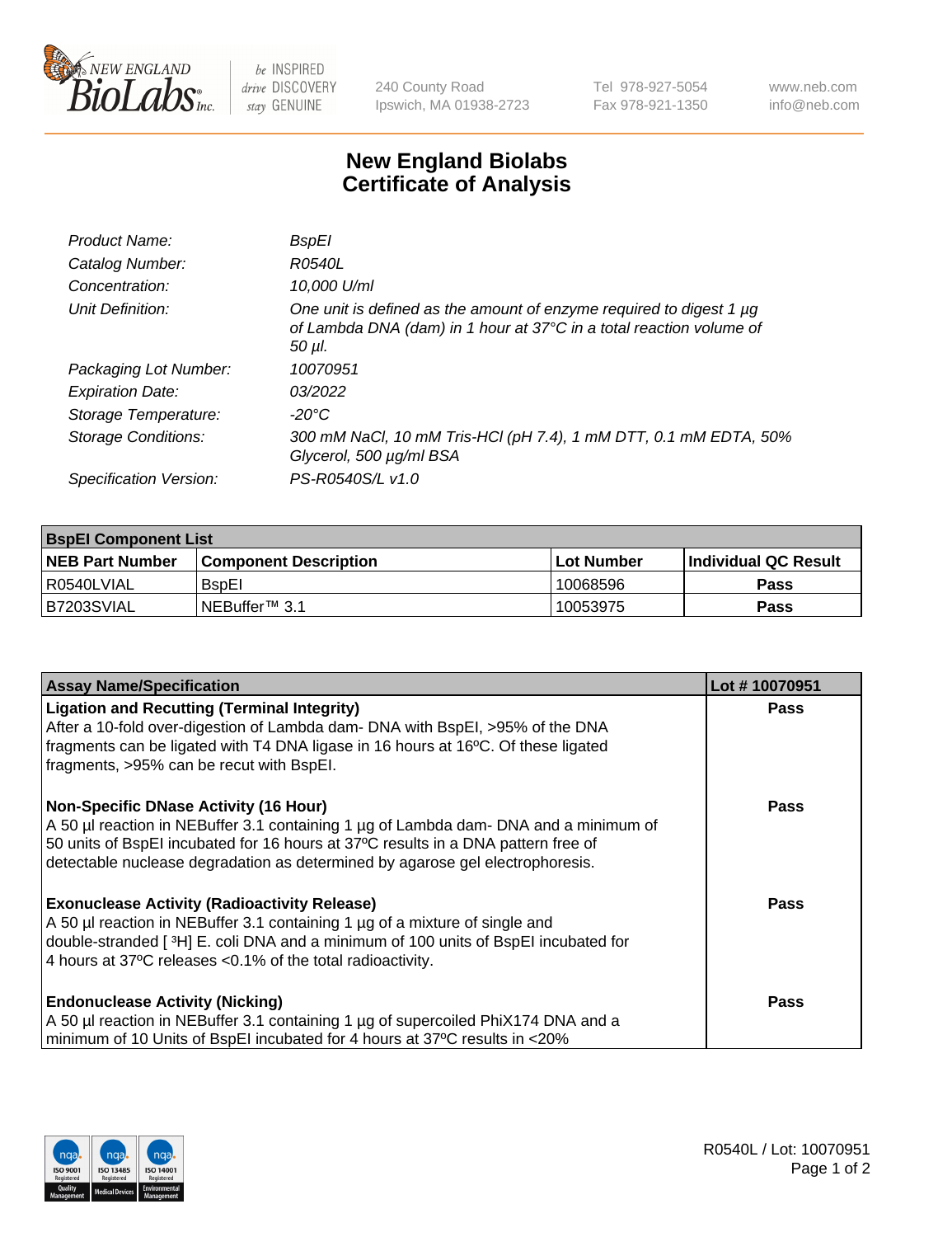

 $be$  INSPIRED drive DISCOVERY stay GENUINE

240 County Road Ipswich, MA 01938-2723 Tel 978-927-5054 Fax 978-921-1350 www.neb.com info@neb.com

## **New England Biolabs Certificate of Analysis**

| Product Name:           | BspEl                                                                                                                                                |
|-------------------------|------------------------------------------------------------------------------------------------------------------------------------------------------|
| Catalog Number:         | R0540L                                                                                                                                               |
| Concentration:          | 10,000 U/ml                                                                                                                                          |
| Unit Definition:        | One unit is defined as the amount of enzyme required to digest 1 µg<br>of Lambda DNA (dam) in 1 hour at 37°C in a total reaction volume of<br>50 µI. |
| Packaging Lot Number:   | 10070951                                                                                                                                             |
| <b>Expiration Date:</b> | 03/2022                                                                                                                                              |
| Storage Temperature:    | $-20^{\circ}$ C                                                                                                                                      |
| Storage Conditions:     | 300 mM NaCl, 10 mM Tris-HCl (pH 7.4), 1 mM DTT, 0.1 mM EDTA, 50%<br>Glycerol, 500 µg/ml BSA                                                          |
| Specification Version:  | PS-R0540S/L v1.0                                                                                                                                     |

| <b>BspEl Component List</b> |                              |              |                             |  |
|-----------------------------|------------------------------|--------------|-----------------------------|--|
| <b>NEB Part Number</b>      | <b>Component Description</b> | l Lot Number | <b>Individual QC Result</b> |  |
| I R0540LVIAL                | <b>B</b> spEI                | 10068596     | <b>Pass</b>                 |  |
| IB7203SVIAL                 | INEBuffer™ 3.1               | 10053975     | <b>Pass</b>                 |  |

| <b>Assay Name/Specification</b>                                                                                                                                                                                                                                                                     | Lot #10070951 |
|-----------------------------------------------------------------------------------------------------------------------------------------------------------------------------------------------------------------------------------------------------------------------------------------------------|---------------|
| <b>Ligation and Recutting (Terminal Integrity)</b><br>After a 10-fold over-digestion of Lambda dam- DNA with BspEI, >95% of the DNA<br>fragments can be ligated with T4 DNA ligase in 16 hours at 16°C. Of these ligated<br>fragments, >95% can be recut with BspEI.                                | <b>Pass</b>   |
| Non-Specific DNase Activity (16 Hour)<br>A 50 µl reaction in NEBuffer 3.1 containing 1 µg of Lambda dam- DNA and a minimum of<br>50 units of BspEI incubated for 16 hours at 37°C results in a DNA pattern free of<br>detectable nuclease degradation as determined by agarose gel electrophoresis. | <b>Pass</b>   |
| <b>Exonuclease Activity (Radioactivity Release)</b><br>A 50 µl reaction in NEBuffer 3.1 containing 1 µg of a mixture of single and<br>double-stranded [3H] E. coli DNA and a minimum of 100 units of BspEI incubated for<br>4 hours at 37°C releases < 0.1% of the total radioactivity.             | <b>Pass</b>   |
| <b>Endonuclease Activity (Nicking)</b><br>A 50 µl reaction in NEBuffer 3.1 containing 1 µg of supercoiled PhiX174 DNA and a<br>minimum of 10 Units of BspEI incubated for 4 hours at 37°C results in <20%                                                                                           | <b>Pass</b>   |